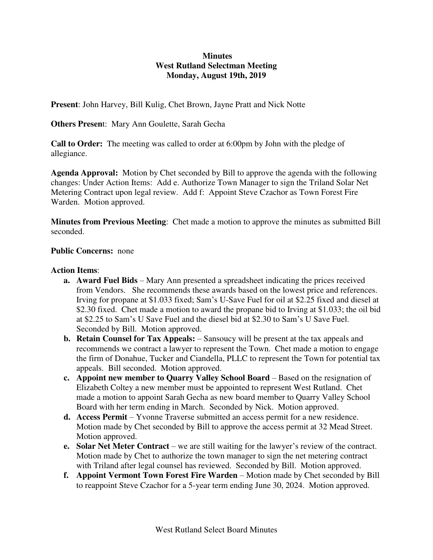# **Minutes West Rutland Selectman Meeting Monday, August 19th, 2019**

**Present**: John Harvey, Bill Kulig, Chet Brown, Jayne Pratt and Nick Notte

**Others Presen**t: Mary Ann Goulette, Sarah Gecha

**Call to Order:** The meeting was called to order at 6:00pm by John with the pledge of allegiance.

**Agenda Approval:** Motion by Chet seconded by Bill to approve the agenda with the following changes: Under Action Items: Add e. Authorize Town Manager to sign the Triland Solar Net Metering Contract upon legal review. Add f: Appoint Steve Czachor as Town Forest Fire Warden. Motion approved.

**Minutes from Previous Meeting**: Chet made a motion to approve the minutes as submitted Bill seconded.

#### **Public Concerns:** none

#### **Action Items**:

- **a. Award Fuel Bids**  Mary Ann presented a spreadsheet indicating the prices received from Vendors. She recommends these awards based on the lowest price and references. Irving for propane at \$1.033 fixed; Sam's U-Save Fuel for oil at \$2.25 fixed and diesel at \$2.30 fixed. Chet made a motion to award the propane bid to Irving at \$1.033; the oil bid at \$2.25 to Sam's U Save Fuel and the diesel bid at \$2.30 to Sam's U Save Fuel. Seconded by Bill. Motion approved.
- **b. Retain Counsel for Tax Appeals:** Sansoucy will be present at the tax appeals and recommends we contract a lawyer to represent the Town. Chet made a motion to engage the firm of Donahue, Tucker and Ciandella, PLLC to represent the Town for potential tax appeals. Bill seconded. Motion approved.
- **c.** Appoint new member to Quarry Valley School Board Based on the resignation of Elizabeth Coltey a new member must be appointed to represent West Rutland. Chet made a motion to appoint Sarah Gecha as new board member to Quarry Valley School Board with her term ending in March. Seconded by Nick. Motion approved.
- **d. Access Permit**  Yvonne Traverse submitted an access permit for a new residence. Motion made by Chet seconded by Bill to approve the access permit at 32 Mead Street. Motion approved.
- **e.** Solar Net Meter Contract we are still waiting for the lawyer's review of the contract. Motion made by Chet to authorize the town manager to sign the net metering contract with Triland after legal counsel has reviewed. Seconded by Bill. Motion approved.
- **f.** Appoint Vermont Town Forest Fire Warden Motion made by Chet seconded by Bill to reappoint Steve Czachor for a 5-year term ending June 30, 2024. Motion approved.